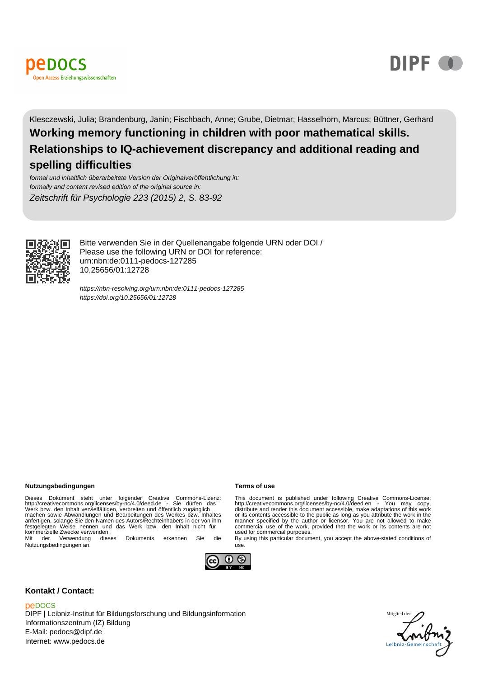



Klesczewski, Julia; Brandenburg, Janin; Fischbach, Anne; Grube, Dietmar; Hasselhorn, Marcus; Büttner, Gerhard **Working memory functioning in children with poor mathematical skills.**

**Relationships to IQ-achievement discrepancy and additional reading and spelling difficulties**

formal und inhaltlich überarbeitete Version der Originalveröffentlichung in: formally and content revised edition of the original source in: Zeitschrift für Psychologie 223 (2015) 2, S. 83-92



Bitte verwenden Sie in der Quellenangabe folgende URN oder DOI / Please use the following URN or DOI for reference: urn:nbn:de:0111-pedocs-127285 10.25656/01:12728

<https://nbn-resolving.org/urn:nbn:de:0111-pedocs-127285> <https://doi.org/10.25656/01:12728>

#### **Nutzungsbedingungen Terms of use**

Dieses Dokument steht unter folgender Creative Commons-Lizenz:<br>http://creativecommons.org/licenses/by-nc/4.0/deed.de - Sie dürfen das<br>Werk bzw. den Inhalt.vervielfältigen, verbreiten.und öffentlich zugänglich<br>machen.sowie. anfertigen, solange Sie den Namen des Autors/Rechteinhabers in der von ihm festgelegten Weise nennen und das Werk bzw. den Inhalt nicht für kommerzielle Zwecke verwenden. Mit der Verwendung dieses Dokuments erkennen Sie die

Nutzungsbedingungen an.



#### **Kontakt / Contact:**

#### peDOCS

DIPF | Leibniz-Institut für Bildungsforschung und Bildungsinformation Informationszentrum (IZ) Bildung E-Mail: pedocs@dipf.de Internet: www.pedocs.de

This document is published under following Creative Commons-License:<br>http://creativecommons.org/licenses/by-nc/4.0/deed.en - You may copy,<br>distribute and render this document accessible, make adaptations of this work or its contents accessible to the public as long as you attribute the work in the<br>manner specified by the author or licensor. You are not allowed to make<br>commercial use of the work, provided that the work or its contents a used for commercial purposes.

By using this particular document, you accept the above-stated conditions of use.

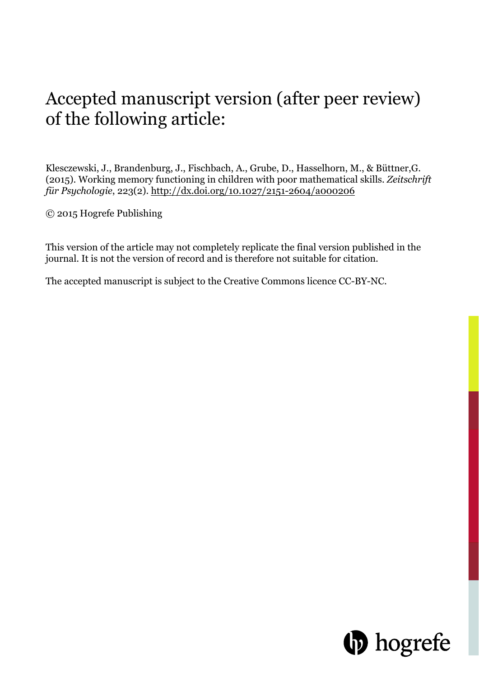# Accepted manuscript version (after peer review) of the following article:

Klesczewski, J., Brandenburg, J., Fischbach, A., Grube, D., Hasselhorn, M., & Büttner,G. (2015). Working memory functioning in children with poor mathematical skills. *Zeitschrift für Psychologie*, 223(2). http://dx.doi.org/10.1027/2151-2604/a000206

© 2015 Hogrefe Publishing

This version of the article may not completely replicate the final version published in the journal. It is not the version of record and is therefore not suitable for citation.

The accepted manuscript is subject to the Creative Commons licence CC-BY-NC.

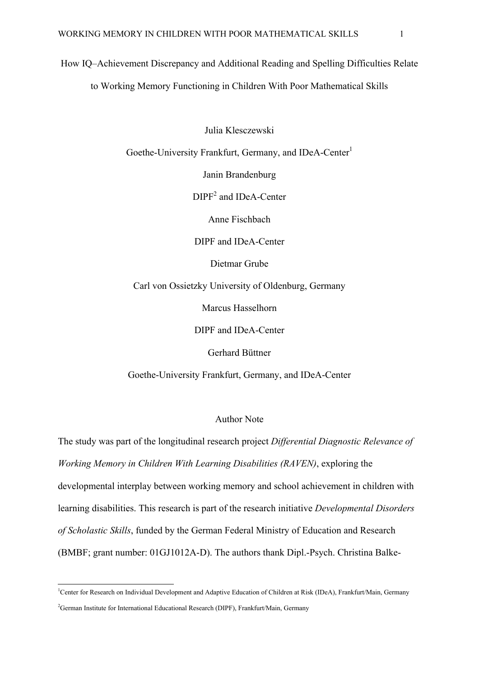How IQ–Achievement Discrepancy and Additional Reading and Spelling Difficulties Relate to Working Memory Functioning in Children With Poor Mathematical Skills

Julia Klesczewski

Goethe-University Frankfurt, Germany, and IDeA-Center<sup>1</sup>

Janin Brandenburg

DIPF<sup>2</sup> and IDeA-Center

Anne Fischbach

DIPF and IDeA-Center

Dietmar Grube

Carl von Ossietzky University of Oldenburg, Germany

Marcus Hasselhorn

DIPF and IDeA-Center

Gerhard Büttner

Goethe-University Frankfurt, Germany, and IDeA-Center

#### Author Note

The study was part of the longitudinal research project *Differential Diagnostic Relevance of Working Memory in Children With Learning Disabilities (RAVEN)*, exploring the developmental interplay between working memory and school achievement in children with learning disabilities. This research is part of the research initiative *Developmental Disorders of Scholastic Skills*, funded by the German Federal Ministry of Education and Research (BMBF; grant number: 01GJ1012A-D). The authors thank Dipl.-Psych. Christina Balke-

**.** 

<sup>&</sup>lt;sup>1</sup>Center for Research on Individual Development and Adaptive Education of Children at Risk (IDeA), Frankfurt/Main, Germany <sup>2</sup>German Institute for International Educational Research (DIPF), Frankfurt/Main, Germany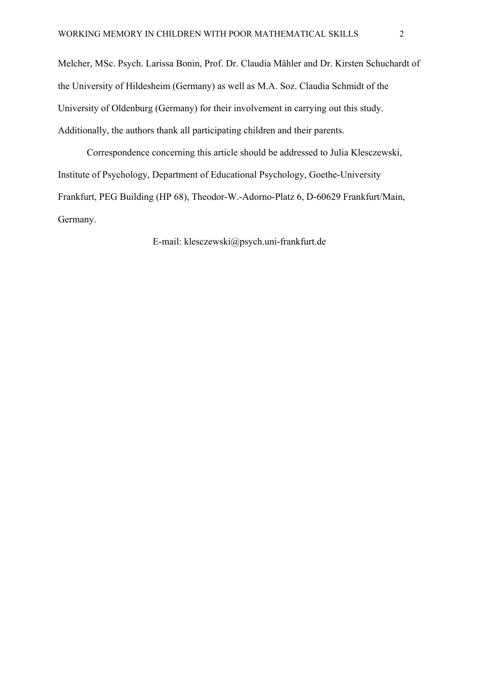Melcher, MSc. Psych. Larissa Bonin, Prof. Dr. Claudia Mähler and Dr. Kirsten Schuchardt of the University of Hildesheim (Germany) as well as M.A. Soz. Claudia Schmidt of the University of Oldenburg (Germany) for their involvement in carrying out this study. Additionally, the authors thank all participating children and their parents.

Correspondence concerning this article should be addressed to Julia Klesczewski, Institute of Psychology, Department of Educational Psychology, Goethe-University Frankfurt, PEG Building (HP 68), Theodor-W.-Adorno-Platz 6, D-60629 Frankfurt/Main, Germany.

E-mail: klesczewski@psych.uni-frankfurt.de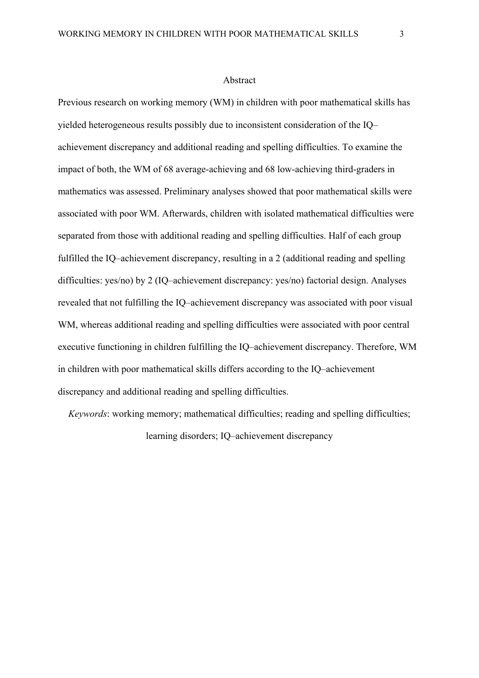#### Abstract

Previous research on working memory (WM) in children with poor mathematical skills has yielded heterogeneous results possibly due to inconsistent consideration of the IQ– achievement discrepancy and additional reading and spelling difficulties. To examine the impact of both, the WM of 68 average-achieving and 68 low-achieving third-graders in mathematics was assessed. Preliminary analyses showed that poor mathematical skills were associated with poor WM. Afterwards, children with isolated mathematical difficulties were separated from those with additional reading and spelling difficulties. Half of each group fulfilled the IQ–achievement discrepancy, resulting in a 2 (additional reading and spelling difficulties: yes/no) by 2 (IQ–achievement discrepancy: yes/no) factorial design. Analyses revealed that not fulfilling the IQ–achievement discrepancy was associated with poor visual WM, whereas additional reading and spelling difficulties were associated with poor central executive functioning in children fulfilling the IQ–achievement discrepancy. Therefore, WM in children with poor mathematical skills differs according to the IQ–achievement discrepancy and additional reading and spelling difficulties.

*Keywords*: working memory; mathematical difficulties; reading and spelling difficulties; learning disorders; IQ–achievement discrepancy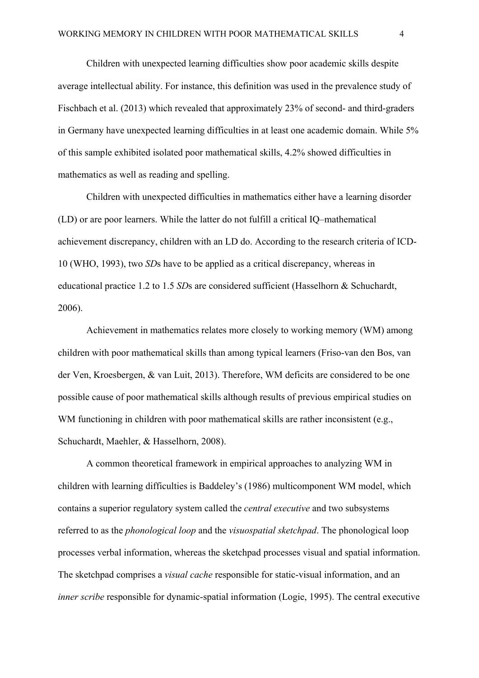Children with unexpected learning difficulties show poor academic skills despite average intellectual ability. For instance, this definition was used in the prevalence study of Fischbach et al. (2013) which revealed that approximately 23% of second- and third-graders in Germany have unexpected learning difficulties in at least one academic domain. While 5% of this sample exhibited isolated poor mathematical skills, 4.2% showed difficulties in mathematics as well as reading and spelling.

Children with unexpected difficulties in mathematics either have a learning disorder (LD) or are poor learners. While the latter do not fulfill a critical IQ–mathematical achievement discrepancy, children with an LD do. According to the research criteria of ICD-10 (WHO, 1993), two *SD*s have to be applied as a critical discrepancy, whereas in educational practice 1.2 to 1.5 *SD*s are considered sufficient (Hasselhorn & Schuchardt, 2006).

Achievement in mathematics relates more closely to working memory (WM) among children with poor mathematical skills than among typical learners (Friso-van den Bos, van der Ven, Kroesbergen, & van Luit, 2013). Therefore, WM deficits are considered to be one possible cause of poor mathematical skills although results of previous empirical studies on WM functioning in children with poor mathematical skills are rather inconsistent (e.g., Schuchardt, Maehler, & Hasselhorn, 2008).

A common theoretical framework in empirical approaches to analyzing WM in children with learning difficulties is Baddeley's (1986) multicomponent WM model, which contains a superior regulatory system called the *central executive* and two subsystems referred to as the *phonological loop* and the *visuospatial sketchpad*. The phonological loop processes verbal information, whereas the sketchpad processes visual and spatial information. The sketchpad comprises a *visual cache* responsible for static-visual information, and an *inner scribe* responsible for dynamic-spatial information (Logie, 1995). The central executive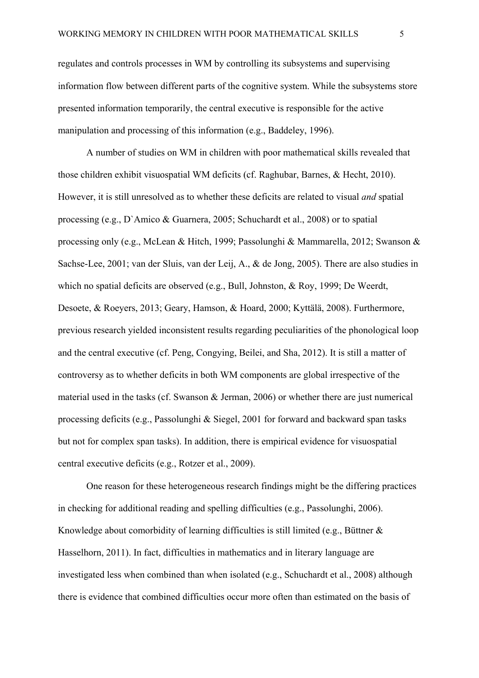regulates and controls processes in WM by controlling its subsystems and supervising information flow between different parts of the cognitive system. While the subsystems store presented information temporarily, the central executive is responsible for the active manipulation and processing of this information (e.g., Baddeley, 1996).

A number of studies on WM in children with poor mathematical skills revealed that those children exhibit visuospatial WM deficits (cf. Raghubar, Barnes, & Hecht, 2010). However, it is still unresolved as to whether these deficits are related to visual *and* spatial processing (e.g., D`Amico & Guarnera, 2005; Schuchardt et al., 2008) or to spatial processing only (e.g., McLean & Hitch, 1999; Passolunghi & Mammarella, 2012; Swanson & Sachse-Lee, 2001; van der Sluis, van der Leij, A., & de Jong, 2005). There are also studies in which no spatial deficits are observed (e.g., Bull, Johnston, & Roy, 1999; De Weerdt, Desoete, & Roeyers, 2013; Geary, Hamson, & Hoard, 2000; Kyttälä, 2008). Furthermore, previous research yielded inconsistent results regarding peculiarities of the phonological loop and the central executive (cf. Peng, Congying, Beilei, and Sha, 2012). It is still a matter of controversy as to whether deficits in both WM components are global irrespective of the material used in the tasks (cf. Swanson & Jerman, 2006) or whether there are just numerical processing deficits (e.g., Passolunghi & Siegel, 2001 for forward and backward span tasks but not for complex span tasks). In addition, there is empirical evidence for visuospatial central executive deficits (e.g., Rotzer et al., 2009).

One reason for these heterogeneous research findings might be the differing practices in checking for additional reading and spelling difficulties (e.g., Passolunghi, 2006). Knowledge about comorbidity of learning difficulties is still limited (e.g., Büttner & Hasselhorn, 2011). In fact, difficulties in mathematics and in literary language are investigated less when combined than when isolated (e.g., Schuchardt et al., 2008) although there is evidence that combined difficulties occur more often than estimated on the basis of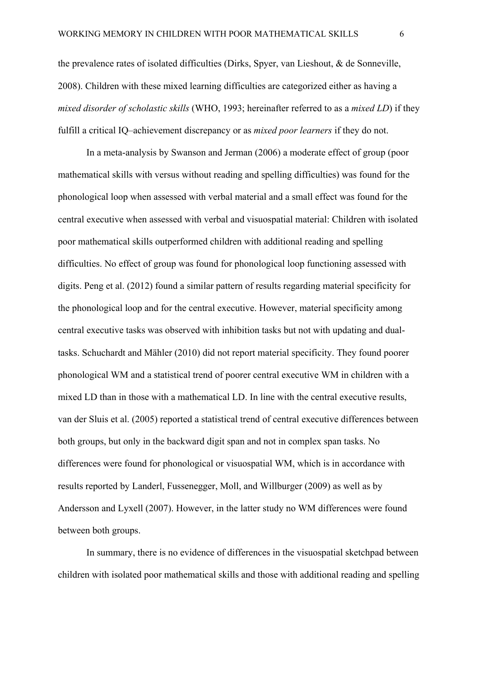the prevalence rates of isolated difficulties (Dirks, Spyer, van Lieshout, & de Sonneville, 2008). Children with these mixed learning difficulties are categorized either as having a *mixed disorder of scholastic skills* (WHO, 1993; hereinafter referred to as a *mixed LD*) if they fulfill a critical IQ–achievement discrepancy or as *mixed poor learners* if they do not.

In a meta-analysis by Swanson and Jerman (2006) a moderate effect of group (poor mathematical skills with versus without reading and spelling difficulties) was found for the phonological loop when assessed with verbal material and a small effect was found for the central executive when assessed with verbal and visuospatial material: Children with isolated poor mathematical skills outperformed children with additional reading and spelling difficulties. No effect of group was found for phonological loop functioning assessed with digits. Peng et al. (2012) found a similar pattern of results regarding material specificity for the phonological loop and for the central executive. However, material specificity among central executive tasks was observed with inhibition tasks but not with updating and dualtasks. Schuchardt and Mähler (2010) did not report material specificity. They found poorer phonological WM and a statistical trend of poorer central executive WM in children with a mixed LD than in those with a mathematical LD. In line with the central executive results, van der Sluis et al. (2005) reported a statistical trend of central executive differences between both groups, but only in the backward digit span and not in complex span tasks. No differences were found for phonological or visuospatial WM, which is in accordance with results reported by Landerl, Fussenegger, Moll, and Willburger (2009) as well as by Andersson and Lyxell (2007). However, in the latter study no WM differences were found between both groups.

In summary, there is no evidence of differences in the visuospatial sketchpad between children with isolated poor mathematical skills and those with additional reading and spelling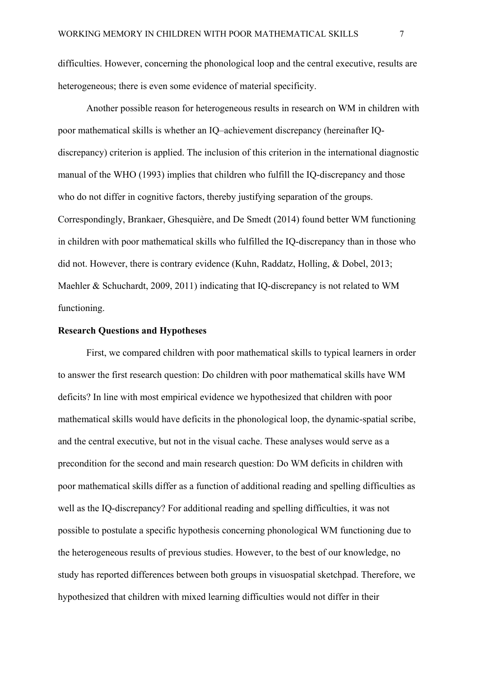difficulties. However, concerning the phonological loop and the central executive, results are heterogeneous; there is even some evidence of material specificity.

Another possible reason for heterogeneous results in research on WM in children with poor mathematical skills is whether an IQ–achievement discrepancy (hereinafter IQdiscrepancy) criterion is applied. The inclusion of this criterion in the international diagnostic manual of the WHO (1993) implies that children who fulfill the IQ-discrepancy and those who do not differ in cognitive factors, thereby justifying separation of the groups. Correspondingly, Brankaer, Ghesquière, and De Smedt (2014) found better WM functioning in children with poor mathematical skills who fulfilled the IQ-discrepancy than in those who did not. However, there is contrary evidence (Kuhn, Raddatz, Holling, & Dobel, 2013; Maehler & Schuchardt, 2009, 2011) indicating that IQ-discrepancy is not related to WM functioning.

#### **Research Questions and Hypotheses**

First, we compared children with poor mathematical skills to typical learners in order to answer the first research question: Do children with poor mathematical skills have WM deficits? In line with most empirical evidence we hypothesized that children with poor mathematical skills would have deficits in the phonological loop, the dynamic-spatial scribe, and the central executive, but not in the visual cache. These analyses would serve as a precondition for the second and main research question: Do WM deficits in children with poor mathematical skills differ as a function of additional reading and spelling difficulties as well as the IQ-discrepancy? For additional reading and spelling difficulties, it was not possible to postulate a specific hypothesis concerning phonological WM functioning due to the heterogeneous results of previous studies. However, to the best of our knowledge, no study has reported differences between both groups in visuospatial sketchpad. Therefore, we hypothesized that children with mixed learning difficulties would not differ in their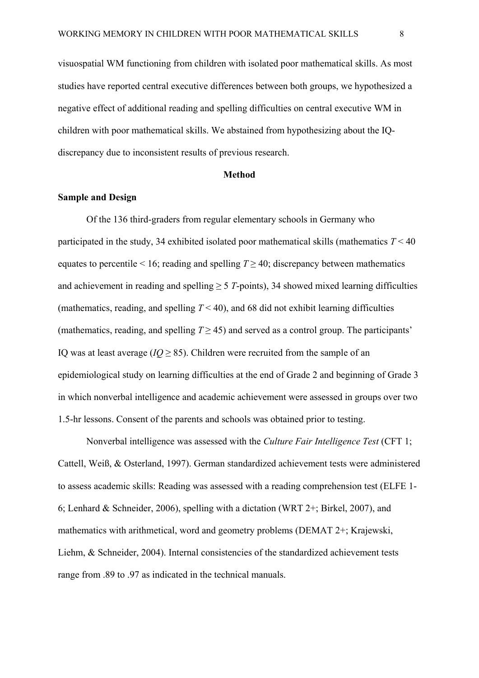visuospatial WM functioning from children with isolated poor mathematical skills. As most studies have reported central executive differences between both groups, we hypothesized a negative effect of additional reading and spelling difficulties on central executive WM in children with poor mathematical skills. We abstained from hypothesizing about the IQdiscrepancy due to inconsistent results of previous research.

#### **Method**

#### **Sample and Design**

Of the 136 third-graders from regular elementary schools in Germany who participated in the study, 34 exhibited isolated poor mathematical skills (mathematics *T* < 40 equates to percentile  $\leq 16$ ; reading and spelling  $T > 40$ ; discrepancy between mathematics and achievement in reading and spelling  $\geq$  5 *T*-points), 34 showed mixed learning difficulties (mathematics, reading, and spelling  $T < 40$ ), and 68 did not exhibit learning difficulties (mathematics, reading, and spelling  $T \ge 45$ ) and served as a control group. The participants' IQ was at least average (*). Children were recruited from the sample of an* epidemiological study on learning difficulties at the end of Grade 2 and beginning of Grade 3 in which nonverbal intelligence and academic achievement were assessed in groups over two 1.5-hr lessons. Consent of the parents and schools was obtained prior to testing.

Nonverbal intelligence was assessed with the *Culture Fair Intelligence Test* (CFT 1; Cattell, Weiß, & Osterland, 1997). German standardized achievement tests were administered to assess academic skills: Reading was assessed with a reading comprehension test (ELFE 1- 6; Lenhard & Schneider, 2006), spelling with a dictation (WRT 2+; Birkel, 2007), and mathematics with arithmetical, word and geometry problems (DEMAT 2+; Krajewski, Liehm, & Schneider, 2004). Internal consistencies of the standardized achievement tests range from .89 to .97 as indicated in the technical manuals.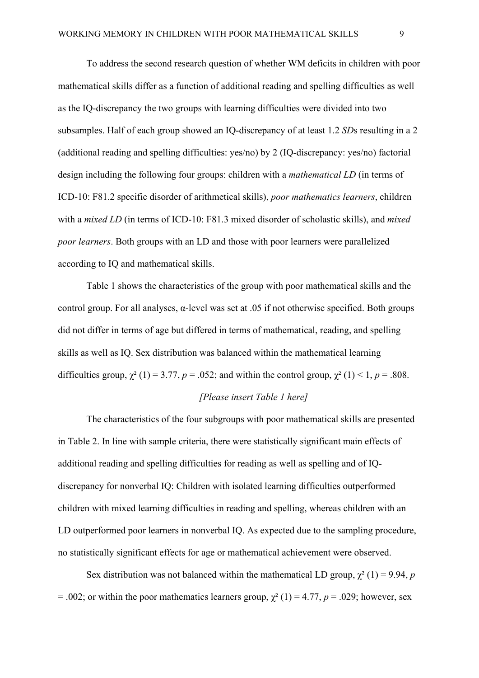To address the second research question of whether WM deficits in children with poor mathematical skills differ as a function of additional reading and spelling difficulties as well as the IQ-discrepancy the two groups with learning difficulties were divided into two subsamples. Half of each group showed an IQ-discrepancy of at least 1.2 *SD*s resulting in a 2 (additional reading and spelling difficulties: yes/no) by 2 (IQ-discrepancy: yes/no) factorial design including the following four groups: children with a *mathematical LD* (in terms of ICD-10: F81.2 specific disorder of arithmetical skills), *poor mathematics learners*, children with a *mixed LD* (in terms of ICD-10: F81.3 mixed disorder of scholastic skills), and *mixed poor learners*. Both groups with an LD and those with poor learners were parallelized according to IQ and mathematical skills.

Table 1 shows the characteristics of the group with poor mathematical skills and the control group. For all analyses,  $\alpha$ -level was set at .05 if not otherwise specified. Both groups did not differ in terms of age but differed in terms of mathematical, reading, and spelling skills as well as IQ. Sex distribution was balanced within the mathematical learning difficulties group,  $\chi^2$  (1) = 3.77, *p* = .052; and within the control group,  $\chi^2$  (1) < 1, *p* = .808.

#### *[Please insert Table 1 here]*

The characteristics of the four subgroups with poor mathematical skills are presented in Table 2. In line with sample criteria, there were statistically significant main effects of additional reading and spelling difficulties for reading as well as spelling and of IQdiscrepancy for nonverbal IQ: Children with isolated learning difficulties outperformed children with mixed learning difficulties in reading and spelling, whereas children with an LD outperformed poor learners in nonverbal IQ. As expected due to the sampling procedure, no statistically significant effects for age or mathematical achievement were observed.

Sex distribution was not balanced within the mathematical LD group,  $\chi^2$  (1) = 9.94, *p* = .002; or within the poor mathematics learners group,  $\chi^2$  (1) = 4.77, *p* = .029; however, sex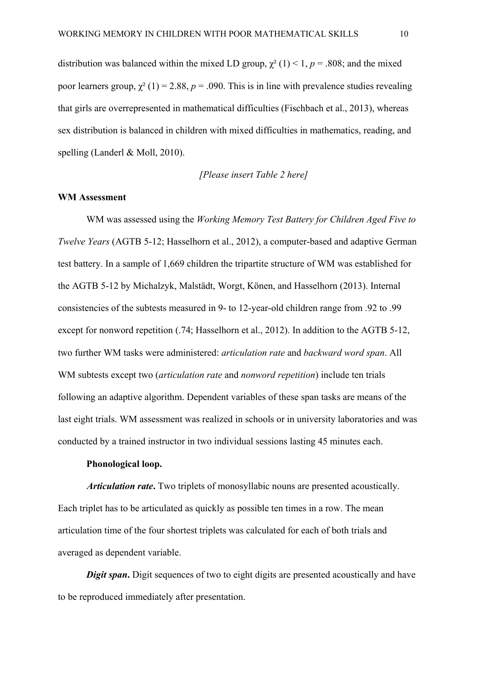distribution was balanced within the mixed LD group,  $\chi^2$  (1) < 1, *p* = .808; and the mixed poor learners group,  $\chi^2$  (1) = 2.88, *p* = .090. This is in line with prevalence studies revealing that girls are overrepresented in mathematical difficulties (Fischbach et al., 2013), whereas sex distribution is balanced in children with mixed difficulties in mathematics, reading, and spelling (Landerl & Moll, 2010).

*[Please insert Table 2 here]*

#### **WM Assessment**

WM was assessed using the *Working Memory Test Battery for Children Aged Five to Twelve Years* (AGTB 5-12; Hasselhorn et al., 2012), a computer-based and adaptive German test battery. In a sample of 1,669 children the tripartite structure of WM was established for the AGTB 5-12 by Michalzyk, Malstädt, Worgt, Könen, and Hasselhorn (2013). Internal consistencies of the subtests measured in 9- to 12-year-old children range from .92 to .99 except for nonword repetition (.74; Hasselhorn et al., 2012). In addition to the AGTB 5-12, two further WM tasks were administered: *articulation rate* and *backward word span*. All WM subtests except two (*articulation rate* and *nonword repetition*) include ten trials following an adaptive algorithm. Dependent variables of these span tasks are means of the last eight trials. WM assessment was realized in schools or in university laboratories and was conducted by a trained instructor in two individual sessions lasting 45 minutes each.

#### **Phonological loop.**

*Articulation rate***.** Two triplets of monosyllabic nouns are presented acoustically. Each triplet has to be articulated as quickly as possible ten times in a row. The mean articulation time of the four shortest triplets was calculated for each of both trials and averaged as dependent variable.

*Digit span.* Digit sequences of two to eight digits are presented acoustically and have to be reproduced immediately after presentation.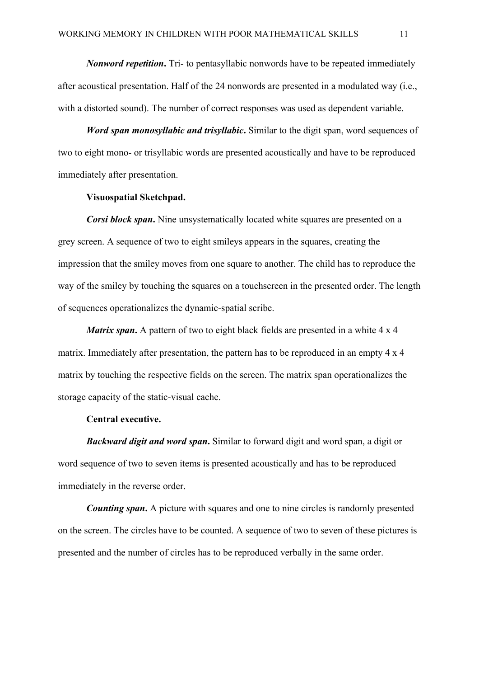*Nonword repetition***.** Tri- to pentasyllabic nonwords have to be repeated immediately after acoustical presentation. Half of the 24 nonwords are presented in a modulated way (i.e., with a distorted sound). The number of correct responses was used as dependent variable.

*Word span monosyllabic and trisyllabic***.** Similar to the digit span, word sequences of two to eight mono- or trisyllabic words are presented acoustically and have to be reproduced immediately after presentation.

#### **Visuospatial Sketchpad.**

*Corsi block span.* Nine unsystematically located white squares are presented on a grey screen. A sequence of two to eight smileys appears in the squares, creating the impression that the smiley moves from one square to another. The child has to reproduce the way of the smiley by touching the squares on a touchscreen in the presented order. The length of sequences operationalizes the dynamic-spatial scribe.

*Matrix span.* A pattern of two to eight black fields are presented in a white 4 x 4 matrix. Immediately after presentation, the pattern has to be reproduced in an empty 4 x 4 matrix by touching the respective fields on the screen. The matrix span operationalizes the storage capacity of the static-visual cache.

#### **Central executive.**

*Backward digit and word span***.** Similar to forward digit and word span, a digit or word sequence of two to seven items is presented acoustically and has to be reproduced immediately in the reverse order.

*Counting span.* A picture with squares and one to nine circles is randomly presented on the screen. The circles have to be counted. A sequence of two to seven of these pictures is presented and the number of circles has to be reproduced verbally in the same order.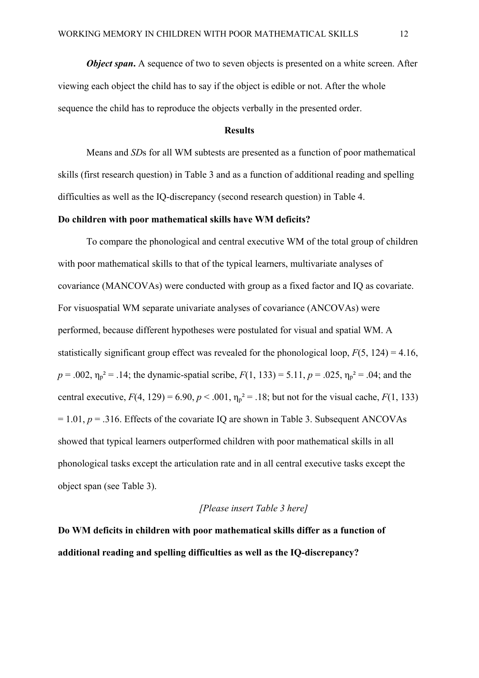*Object span*. A sequence of two to seven objects is presented on a white screen. After viewing each object the child has to say if the object is edible or not. After the whole sequence the child has to reproduce the objects verbally in the presented order.

#### **Results**

Means and *SD*s for all WM subtests are presented as a function of poor mathematical skills (first research question) in Table 3 and as a function of additional reading and spelling difficulties as well as the IQ-discrepancy (second research question) in Table 4.

#### **Do children with poor mathematical skills have WM deficits?**

To compare the phonological and central executive WM of the total group of children with poor mathematical skills to that of the typical learners, multivariate analyses of covariance (MANCOVAs) were conducted with group as a fixed factor and IQ as covariate. For visuospatial WM separate univariate analyses of covariance (ANCOVAs) were performed, because different hypotheses were postulated for visual and spatial WM. A statistically significant group effect was revealed for the phonological loop,  $F(5, 124) = 4.16$ ,  $p = .002$ ,  $\eta_p^2 = .14$ ; the dynamic-spatial scribe,  $F(1, 133) = 5.11$ ,  $p = .025$ ,  $\eta_p^2 = .04$ ; and the central executive,  $F(4, 129) = 6.90$ ,  $p < .001$ ,  $\eta_p^2 = .18$ ; but not for the visual cache,  $F(1, 133)$  $= 1.01$ ,  $p = .316$ . Effects of the covariate IQ are shown in Table 3. Subsequent ANCOVAs showed that typical learners outperformed children with poor mathematical skills in all phonological tasks except the articulation rate and in all central executive tasks except the object span (see Table 3).

#### *[Please insert Table 3 here]*

**Do WM deficits in children with poor mathematical skills differ as a function of additional reading and spelling difficulties as well as the IQ-discrepancy?**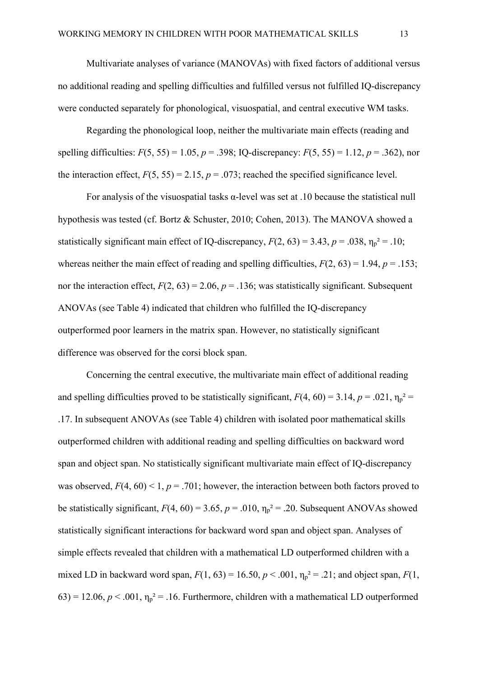Multivariate analyses of variance (MANOVAs) with fixed factors of additional versus no additional reading and spelling difficulties and fulfilled versus not fulfilled IQ-discrepancy were conducted separately for phonological, visuospatial, and central executive WM tasks.

Regarding the phonological loop, neither the multivariate main effects (reading and spelling difficulties:  $F(5, 55) = 1.05$ ,  $p = .398$ ; IQ-discrepancy:  $F(5, 55) = 1.12$ ,  $p = .362$ ), nor the interaction effect,  $F(5, 55) = 2.15$ ,  $p = .073$ ; reached the specified significance level.

For analysis of the visuospatial tasks  $\alpha$ -level was set at .10 because the statistical null hypothesis was tested (cf. Bortz & Schuster, 2010; Cohen, 2013). The MANOVA showed a statistically significant main effect of IQ-discrepancy,  $F(2, 63) = 3.43$ ,  $p = .038$ ,  $\eta_p^2 = .10$ ; whereas neither the main effect of reading and spelling difficulties,  $F(2, 63) = 1.94$ ,  $p = .153$ ; nor the interaction effect,  $F(2, 63) = 2.06$ ,  $p = .136$ ; was statistically significant. Subsequent ANOVAs (see Table 4) indicated that children who fulfilled the IQ-discrepancy outperformed poor learners in the matrix span. However, no statistically significant difference was observed for the corsi block span.

Concerning the central executive, the multivariate main effect of additional reading and spelling difficulties proved to be statistically significant,  $F(4, 60) = 3.14$ ,  $p = .021$ ,  $\eta_p^2 =$ .17. In subsequent ANOVAs (see Table 4) children with isolated poor mathematical skills outperformed children with additional reading and spelling difficulties on backward word span and object span. No statistically significant multivariate main effect of IQ-discrepancy was observed,  $F(4, 60) < 1$ ,  $p = .701$ ; however, the interaction between both factors proved to be statistically significant,  $F(4, 60) = 3.65$ ,  $p = .010$ ,  $\eta_p^2 = .20$ . Subsequent ANOVAs showed statistically significant interactions for backward word span and object span. Analyses of simple effects revealed that children with a mathematical LD outperformed children with a mixed LD in backward word span,  $F(1, 63) = 16.50, p < .001, \eta_p^2 = .21$ ; and object span,  $F(1, 63) = 16.50, p < .001, \eta_p^2 = .21$ ;  $(63) = 12.06$ ,  $p < .001$ ,  $\eta_p^2 = .16$ . Furthermore, children with a mathematical LD outperformed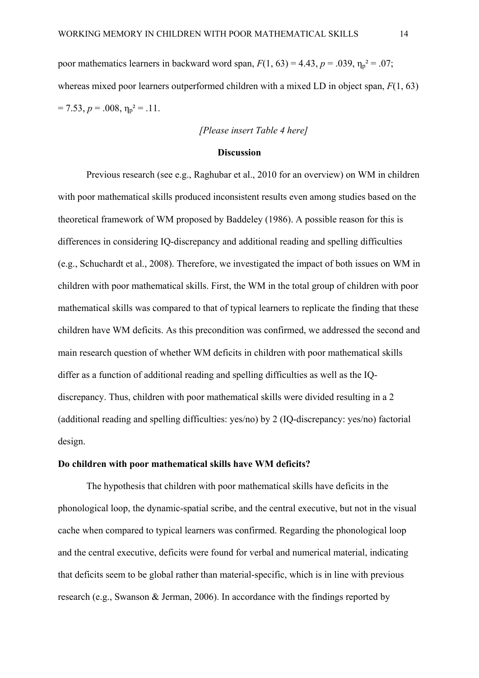poor mathematics learners in backward word span,  $F(1, 63) = 4.43$ ,  $p = .039$ ,  $\eta_p^2 = .07$ ; whereas mixed poor learners outperformed children with a mixed LD in object span, *F*(1, 63)  $= 7.53, p = .008, \eta_p^2 = .11.$ 

#### *[Please insert Table 4 here]*

#### **Discussion**

Previous research (see e.g., Raghubar et al., 2010 for an overview) on WM in children with poor mathematical skills produced inconsistent results even among studies based on the theoretical framework of WM proposed by Baddeley (1986). A possible reason for this is differences in considering IQ-discrepancy and additional reading and spelling difficulties (e.g., Schuchardt et al., 2008). Therefore, we investigated the impact of both issues on WM in children with poor mathematical skills. First, the WM in the total group of children with poor mathematical skills was compared to that of typical learners to replicate the finding that these children have WM deficits. As this precondition was confirmed, we addressed the second and main research question of whether WM deficits in children with poor mathematical skills differ as a function of additional reading and spelling difficulties as well as the IQdiscrepancy. Thus, children with poor mathematical skills were divided resulting in a 2 (additional reading and spelling difficulties: yes/no) by 2 (IQ-discrepancy: yes/no) factorial design.

#### **Do children with poor mathematical skills have WM deficits?**

The hypothesis that children with poor mathematical skills have deficits in the phonological loop, the dynamic-spatial scribe, and the central executive, but not in the visual cache when compared to typical learners was confirmed. Regarding the phonological loop and the central executive, deficits were found for verbal and numerical material, indicating that deficits seem to be global rather than material-specific, which is in line with previous research (e.g., Swanson & Jerman, 2006). In accordance with the findings reported by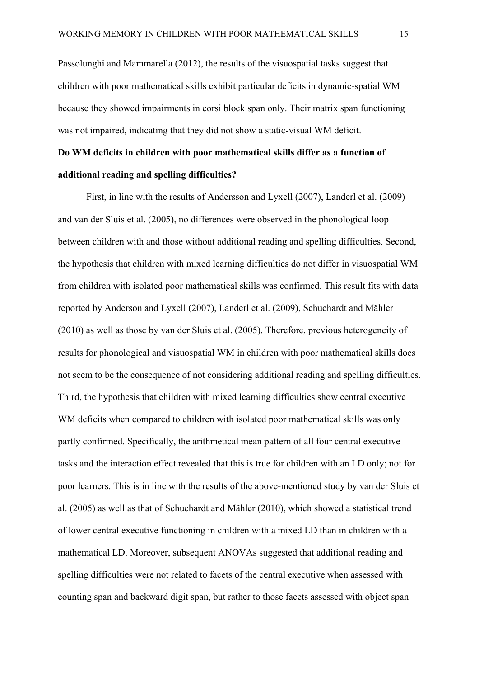Passolunghi and Mammarella (2012), the results of the visuospatial tasks suggest that children with poor mathematical skills exhibit particular deficits in dynamic-spatial WM because they showed impairments in corsi block span only. Their matrix span functioning was not impaired, indicating that they did not show a static-visual WM deficit.

## **Do WM deficits in children with poor mathematical skills differ as a function of additional reading and spelling difficulties?**

First, in line with the results of Andersson and Lyxell (2007), Landerl et al. (2009) and van der Sluis et al. (2005), no differences were observed in the phonological loop between children with and those without additional reading and spelling difficulties. Second, the hypothesis that children with mixed learning difficulties do not differ in visuospatial WM from children with isolated poor mathematical skills was confirmed. This result fits with data reported by Anderson and Lyxell (2007), Landerl et al. (2009), Schuchardt and Mähler (2010) as well as those by van der Sluis et al. (2005). Therefore, previous heterogeneity of results for phonological and visuospatial WM in children with poor mathematical skills does not seem to be the consequence of not considering additional reading and spelling difficulties. Third, the hypothesis that children with mixed learning difficulties show central executive WM deficits when compared to children with isolated poor mathematical skills was only partly confirmed. Specifically, the arithmetical mean pattern of all four central executive tasks and the interaction effect revealed that this is true for children with an LD only; not for poor learners. This is in line with the results of the above-mentioned study by van der Sluis et al. (2005) as well as that of Schuchardt and Mähler (2010), which showed a statistical trend of lower central executive functioning in children with a mixed LD than in children with a mathematical LD. Moreover, subsequent ANOVAs suggested that additional reading and spelling difficulties were not related to facets of the central executive when assessed with counting span and backward digit span, but rather to those facets assessed with object span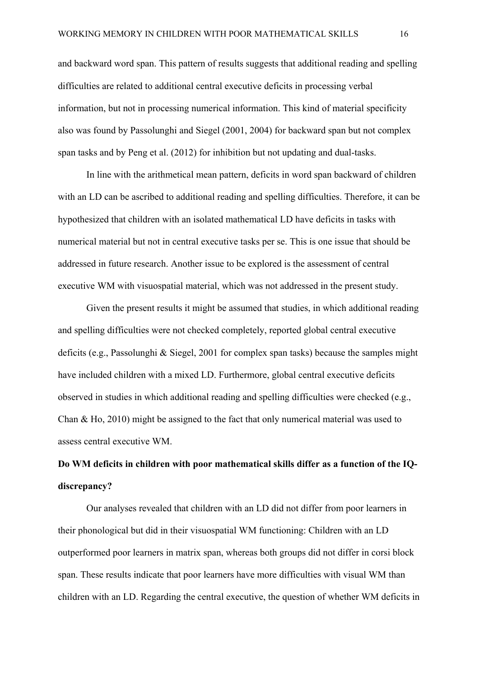and backward word span. This pattern of results suggests that additional reading and spelling difficulties are related to additional central executive deficits in processing verbal information, but not in processing numerical information. This kind of material specificity also was found by Passolunghi and Siegel (2001, 2004) for backward span but not complex span tasks and by Peng et al. (2012) for inhibition but not updating and dual-tasks.

In line with the arithmetical mean pattern, deficits in word span backward of children with an LD can be ascribed to additional reading and spelling difficulties. Therefore, it can be hypothesized that children with an isolated mathematical LD have deficits in tasks with numerical material but not in central executive tasks per se. This is one issue that should be addressed in future research. Another issue to be explored is the assessment of central executive WM with visuospatial material, which was not addressed in the present study.

Given the present results it might be assumed that studies, in which additional reading and spelling difficulties were not checked completely, reported global central executive deficits (e.g., Passolunghi & Siegel, 2001 for complex span tasks) because the samples might have included children with a mixed LD. Furthermore, global central executive deficits observed in studies in which additional reading and spelling difficulties were checked (e.g., Chan & Ho, 2010) might be assigned to the fact that only numerical material was used to assess central executive WM.

# **Do WM deficits in children with poor mathematical skills differ as a function of the IQdiscrepancy?**

Our analyses revealed that children with an LD did not differ from poor learners in their phonological but did in their visuospatial WM functioning: Children with an LD outperformed poor learners in matrix span, whereas both groups did not differ in corsi block span. These results indicate that poor learners have more difficulties with visual WM than children with an LD. Regarding the central executive, the question of whether WM deficits in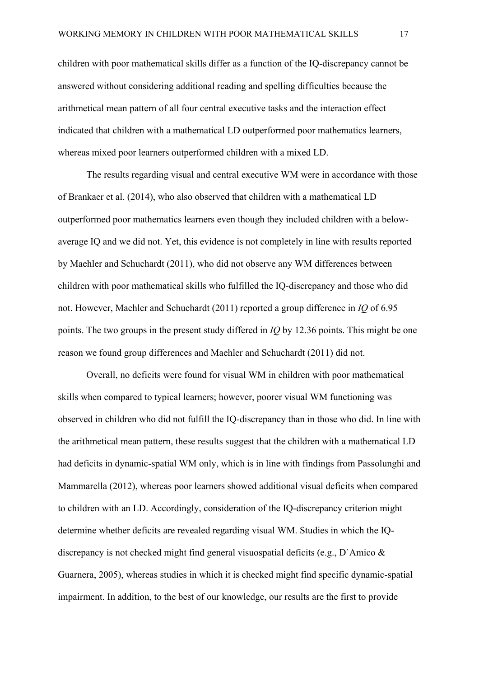children with poor mathematical skills differ as a function of the IQ-discrepancy cannot be answered without considering additional reading and spelling difficulties because the arithmetical mean pattern of all four central executive tasks and the interaction effect indicated that children with a mathematical LD outperformed poor mathematics learners, whereas mixed poor learners outperformed children with a mixed LD.

The results regarding visual and central executive WM were in accordance with those of Brankaer et al. (2014), who also observed that children with a mathematical LD outperformed poor mathematics learners even though they included children with a belowaverage IQ and we did not. Yet, this evidence is not completely in line with results reported by Maehler and Schuchardt (2011), who did not observe any WM differences between children with poor mathematical skills who fulfilled the IQ-discrepancy and those who did not. However, Maehler and Schuchardt (2011) reported a group difference in *IQ* of 6.95 points. The two groups in the present study differed in *IQ* by 12.36 points. This might be one reason we found group differences and Maehler and Schuchardt (2011) did not.

Overall, no deficits were found for visual WM in children with poor mathematical skills when compared to typical learners; however, poorer visual WM functioning was observed in children who did not fulfill the IQ-discrepancy than in those who did. In line with the arithmetical mean pattern, these results suggest that the children with a mathematical LD had deficits in dynamic-spatial WM only, which is in line with findings from Passolunghi and Mammarella (2012), whereas poor learners showed additional visual deficits when compared to children with an LD. Accordingly, consideration of the IQ-discrepancy criterion might determine whether deficits are revealed regarding visual WM. Studies in which the IQdiscrepancy is not checked might find general visuospatial deficits (e.g., D`Amico & Guarnera, 2005), whereas studies in which it is checked might find specific dynamic-spatial impairment. In addition, to the best of our knowledge, our results are the first to provide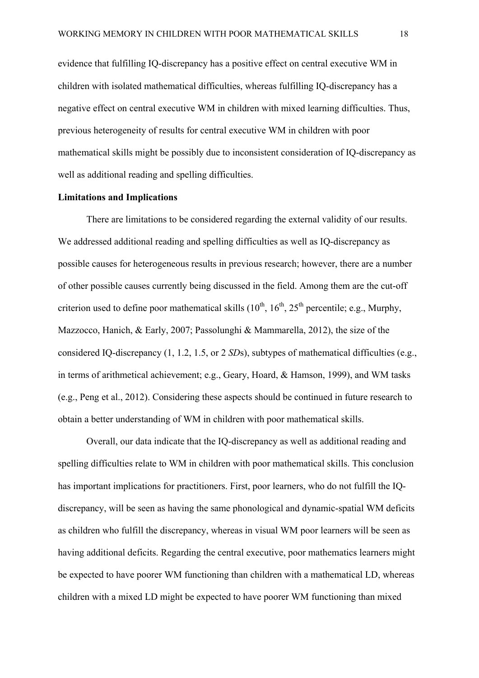evidence that fulfilling IQ-discrepancy has a positive effect on central executive WM in children with isolated mathematical difficulties, whereas fulfilling IQ-discrepancy has a negative effect on central executive WM in children with mixed learning difficulties. Thus, previous heterogeneity of results for central executive WM in children with poor mathematical skills might be possibly due to inconsistent consideration of IQ-discrepancy as well as additional reading and spelling difficulties.

#### **Limitations and Implications**

There are limitations to be considered regarding the external validity of our results. We addressed additional reading and spelling difficulties as well as IQ-discrepancy as possible causes for heterogeneous results in previous research; however, there are a number of other possible causes currently being discussed in the field. Among them are the cut-off criterion used to define poor mathematical skills  $(10^{th}, 16^{th}, 25^{th}$  percentile; e.g., Murphy, Mazzocco, Hanich, & Early, 2007; Passolunghi & Mammarella, 2012), the size of the considered IQ-discrepancy (1, 1.2, 1.5, or 2 *SD*s), subtypes of mathematical difficulties (e.g., in terms of arithmetical achievement; e.g., Geary, Hoard, & Hamson, 1999), and WM tasks (e.g., Peng et al., 2012). Considering these aspects should be continued in future research to obtain a better understanding of WM in children with poor mathematical skills.

Overall, our data indicate that the IQ-discrepancy as well as additional reading and spelling difficulties relate to WM in children with poor mathematical skills. This conclusion has important implications for practitioners. First, poor learners, who do not fulfill the IQdiscrepancy, will be seen as having the same phonological and dynamic-spatial WM deficits as children who fulfill the discrepancy, whereas in visual WM poor learners will be seen as having additional deficits. Regarding the central executive, poor mathematics learners might be expected to have poorer WM functioning than children with a mathematical LD, whereas children with a mixed LD might be expected to have poorer WM functioning than mixed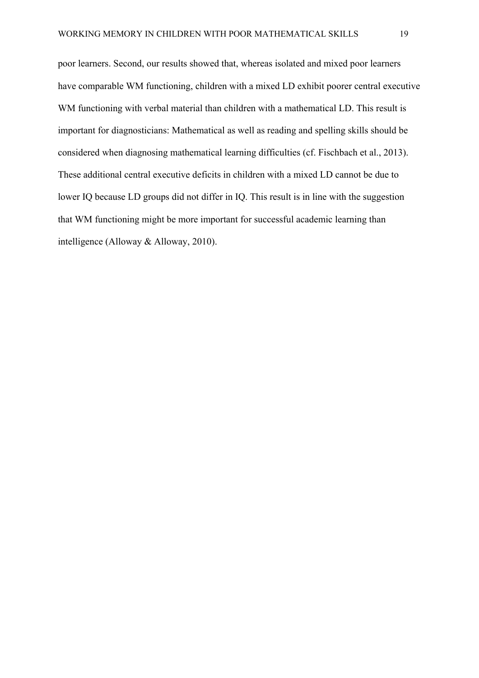poor learners. Second, our results showed that, whereas isolated and mixed poor learners have comparable WM functioning, children with a mixed LD exhibit poorer central executive WM functioning with verbal material than children with a mathematical LD. This result is important for diagnosticians: Mathematical as well as reading and spelling skills should be considered when diagnosing mathematical learning difficulties (cf. Fischbach et al., 2013). These additional central executive deficits in children with a mixed LD cannot be due to lower IQ because LD groups did not differ in IQ. This result is in line with the suggestion that WM functioning might be more important for successful academic learning than intelligence (Alloway & Alloway, 2010).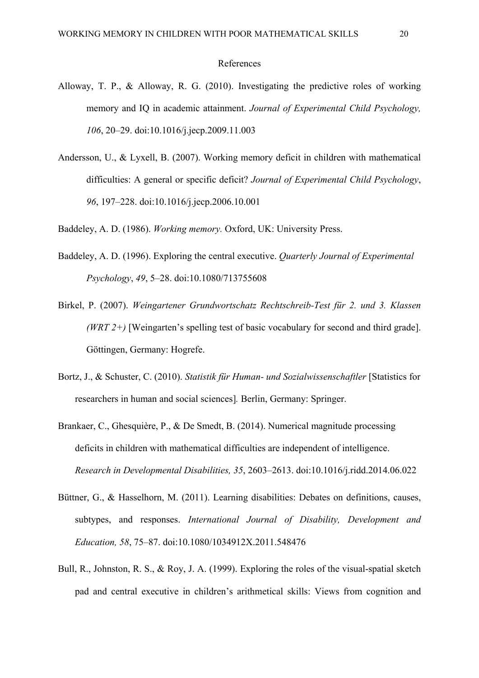#### References

- Alloway, T. P., & Alloway, R. G. (2010). Investigating the predictive roles of working memory and IQ in academic attainment. *Journal of Experimental Child Psychology, 106*, 20–29. doi:10.1016/j.jecp.2009.11.003
- Andersson, U., & Lyxell, B. (2007). Working memory deficit in children with mathematical difficulties: A general or specific deficit? *Journal of Experimental Child Psychology*, *96*, 197–228. doi:10.1016/j.jecp.2006.10.001
- Baddeley, A. D. (1986). *Working memory.* Oxford, UK: University Press.
- Baddeley, A. D. (1996). Exploring the central executive. *Quarterly Journal of Experimental Psychology*, *49*, 5–28. doi:10.1080/713755608
- Birkel, P. (2007). *Weingartener Grundwortschatz Rechtschreib-Test für 2. und 3. Klassen (WRT 2+)* [Weingarten's spelling test of basic vocabulary for second and third grade]. Göttingen, Germany: Hogrefe.
- Bortz, J., & Schuster, C. (2010). *Statistik für Human- und Sozialwissenschaftler* [Statistics for researchers in human and social sciences]*.* Berlin, Germany: Springer.
- Brankaer, C., Ghesquière, P., & De Smedt, B. (2014). Numerical magnitude processing deficits in children with mathematical difficulties are independent of intelligence. *Research in Developmental Disabilities, 35*, 2603–2613. doi:10.1016/j.ridd.2014.06.022
- Büttner, G., & Hasselhorn, M. (2011). Learning disabilities: Debates on definitions, causes, subtypes, and responses. *International Journal of Disability, Development and Education, 58*, 75–87. doi:10.1080/1034912X.2011.548476
- Bull, R., Johnston, R. S., & Roy, J. A. (1999). Exploring the roles of the visual-spatial sketch pad and central executive in children's arithmetical skills: Views from cognition and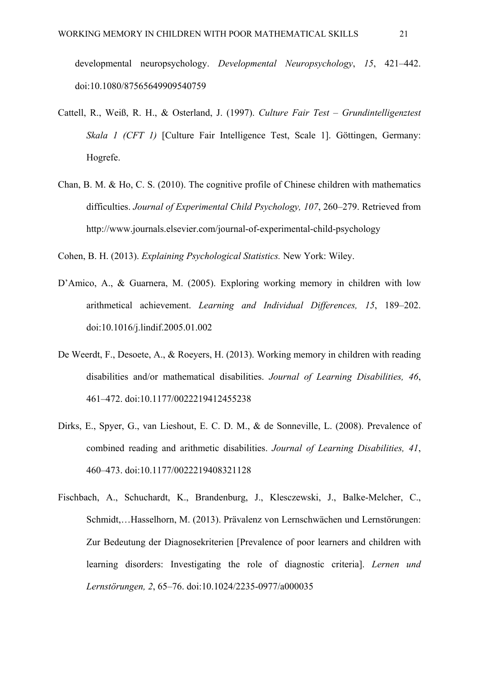developmental neuropsychology. *Developmental Neuropsychology*, *15*, 421–442. doi:10.1080/87565649909540759

- Cattell, R., Weiß, R. H., & Osterland, J. (1997). *Culture Fair Test Grundintelligenztest Skala 1 (CFT 1)* [Culture Fair Intelligence Test, Scale 1]. Göttingen, Germany: Hogrefe.
- Chan, B. M. & Ho, C. S. (2010). The cognitive profile of Chinese children with mathematics difficulties. *Journal of Experimental Child Psychology, 107*, 260–279. Retrieved from http://www.journals.elsevier.com/journal-of-experimental-child-psychology

Cohen, B. H. (2013). *Explaining Psychological Statistics.* New York: Wiley.

- D'Amico, A., & Guarnera, M. (2005). Exploring working memory in children with low arithmetical achievement. *Learning and Individual Differences, 15*, 189–202. doi:10.1016/j.lindif.2005.01.002
- De Weerdt, F., Desoete, A., & Roeyers, H. (2013). Working memory in children with reading disabilities and/or mathematical disabilities. *Journal of Learning Disabilities, 46*, 461–472. doi:10.1177/0022219412455238
- Dirks, E., Spyer, G., van Lieshout, E. C. D. M., & de Sonneville, L. (2008). Prevalence of combined reading and arithmetic disabilities. *Journal of Learning Disabilities, 41*, 460–473. doi:10.1177/0022219408321128
- Fischbach, A., Schuchardt, K., Brandenburg, J., Klesczewski, J., Balke-Melcher, C., Schmidt,…Hasselhorn, M. (2013). Prävalenz von Lernschwächen und Lernstörungen: Zur Bedeutung der Diagnosekriterien [Prevalence of poor learners and children with learning disorders: Investigating the role of diagnostic criteria]. *Lernen und Lernstörungen, 2*, 65–76. doi:10.1024/2235-0977/a000035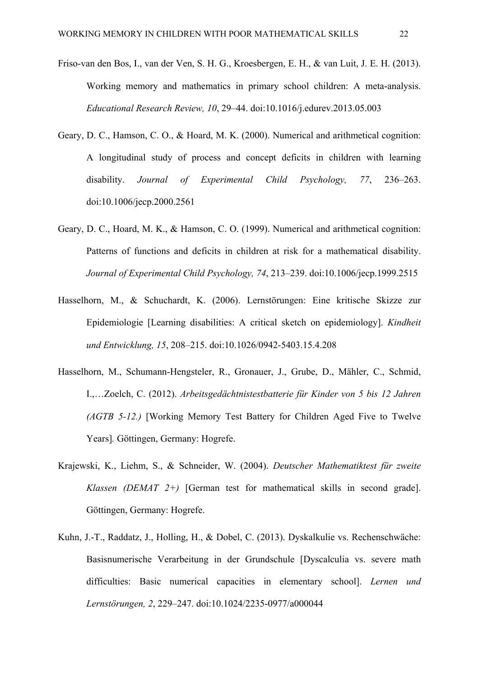- Friso-van den Bos, I., van der Ven, S. H. G., Kroesbergen, E. H., & van Luit, J. E. H. (2013). Working memory and mathematics in primary school children: A meta-analysis. *Educational Research Review, 10*, 29–44. doi:10.1016/j.edurev.2013.05.003
- Geary, D. C., Hamson, C. O., & Hoard, M. K. (2000). Numerical and arithmetical cognition: A longitudinal study of process and concept deficits in children with learning disability. *Journal of Experimental Child Psychology, 77*, 236–263. doi:10.1006/jecp.2000.2561
- Geary, D. C., Hoard, M. K., & Hamson, C. O. (1999). Numerical and arithmetical cognition: Patterns of functions and deficits in children at risk for a mathematical disability. *Journal of Experimental Child Psychology, 74*, 213–239. doi:10.1006/jecp.1999.2515
- Hasselhorn, M., & Schuchardt, K. (2006). Lernstörungen: Eine kritische Skizze zur Epidemiologie [Learning disabilities: A critical sketch on epidemiology]. *Kindheit und Entwicklung, 15*, 208–215. doi:10.1026/0942-5403.15.4.208
- Hasselhorn, M., Schumann-Hengsteler, R., Gronauer, J., Grube, D., Mähler, C., Schmid, I.,…Zoelch, C. (2012). *Arbeitsgedächtnistestbatterie für Kinder von 5 bis 12 Jahren (AGTB 5-12.)* [Working Memory Test Battery for Children Aged Five to Twelve Years]*.* Göttingen, Germany: Hogrefe.
- Krajewski, K., Liehm, S., & Schneider, W. (2004). *Deutscher Mathematiktest für zweite Klassen (DEMAT 2+)* [German test for mathematical skills in second grade]. Göttingen, Germany: Hogrefe.
- Kuhn, J.-T., Raddatz, J., Holling, H., & Dobel, C. (2013). Dyskalkulie vs. Rechenschwäche: Basisnumerische Verarbeitung in der Grundschule [Dyscalculia vs. severe math difficulties: Basic numerical capacities in elementary school]. *Lernen und Lernstörungen, 2*, 229–247. doi:10.1024/2235-0977/a000044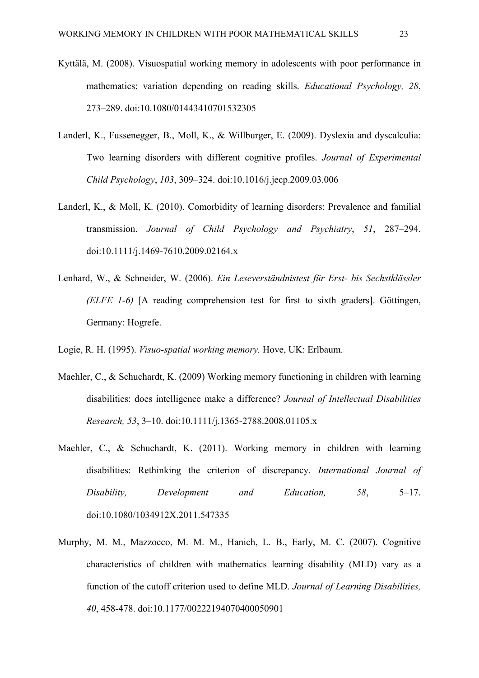- Kyttälä, M. (2008). Visuospatial working memory in adolescents with poor performance in mathematics: variation depending on reading skills. *Educational Psychology, 28*, 273–289. doi:10.1080/01443410701532305
- Landerl, K., Fussenegger, B., Moll, K., & Willburger, E. (2009). Dyslexia and dyscalculia: Two learning disorders with different cognitive profiles. *Journal of Experimental Child Psychology*, *103*, 309–324. doi:10.1016/j.jecp.2009.03.006
- Landerl, K., & Moll, K. (2010). Comorbidity of learning disorders: Prevalence and familial transmission. *Journal of Child Psychology and Psychiatry*, *51*, 287–294. doi:10.1111/j.1469-7610.2009.02164.x
- Lenhard, W., & Schneider, W. (2006). *Ein Leseverständnistest für Erst- bis Sechstklässler (ELFE 1-6)* [A reading comprehension test for first to sixth graders]. Göttingen, Germany: Hogrefe.
- Logie, R. H. (1995). *Visuo-spatial working memory.* Hove, UK: Erlbaum.
- Maehler, C., & Schuchardt, K. (2009) Working memory functioning in children with learning disabilities: does intelligence make a difference? *Journal of Intellectual Disabilities Research, 53*, 3–10. doi:10.1111/j.1365-2788.2008.01105.x
- Maehler, C., & Schuchardt, K. (2011). Working memory in children with learning disabilities: Rethinking the criterion of discrepancy. *International Journal of Disability, Development and Education, 58*, 5–17. doi:10.1080/1034912X.2011.547335
- Murphy, M. M., Mazzocco, M. M. M., Hanich, L. B., Early, M. C. (2007). Cognitive characteristics of children with mathematics learning disability (MLD) vary as a function of the cutoff criterion used to define MLD. *Journal of Learning Disabilities, 40*, 458-478. doi:10.1177/00222194070400050901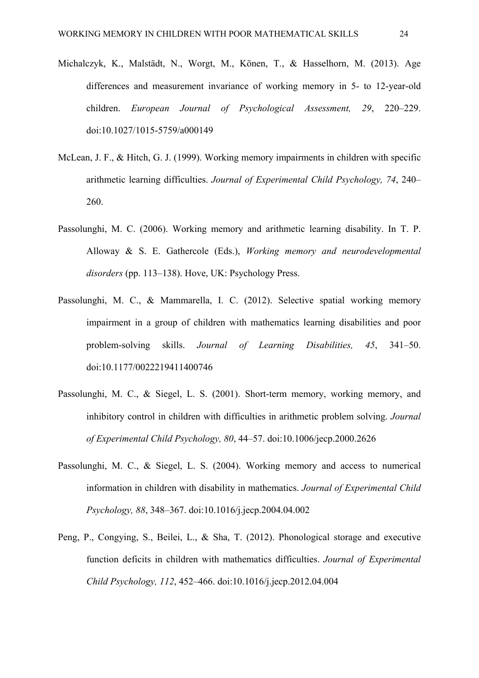- Michalczyk, K., Malstädt, N., Worgt, M., Könen, T., & Hasselhorn, M. (2013). Age differences and measurement invariance of working memory in 5- to 12-year-old children. *European Journal of Psychological Assessment, 29*, 220–229. doi:10.1027/1015-5759/a000149
- McLean, J. F., & Hitch, G. J. (1999). Working memory impairments in children with specific arithmetic learning difficulties. *Journal of Experimental Child Psychology, 74*, 240– 260.
- Passolunghi, M. C. (2006). Working memory and arithmetic learning disability. In T. P. Alloway & S. E. Gathercole (Eds.), *Working memory and neurodevelopmental disorders* (pp. 113–138). Hove, UK: Psychology Press.
- Passolunghi, M. C., & Mammarella, I. C. (2012). Selective spatial working memory impairment in a group of children with mathematics learning disabilities and poor problem-solving skills. *Journal of Learning Disabilities, 45*, 341–50. doi:10.1177/0022219411400746
- Passolunghi, M. C., & Siegel, L. S. (2001). Short-term memory, working memory, and inhibitory control in children with difficulties in arithmetic problem solving. *Journal of Experimental Child Psychology, 80*, 44–57. doi:10.1006/jecp.2000.2626
- Passolunghi, M. C., & Siegel, L. S. (2004). Working memory and access to numerical information in children with disability in mathematics. *Journal of Experimental Child Psychology, 88*, 348–367. doi:10.1016/j.jecp.2004.04.002
- Peng, P., Congying, S., Beilei, L., & Sha, T. (2012). Phonological storage and executive function deficits in children with mathematics difficulties. *Journal of Experimental Child Psychology, 112*, 452–466. doi:10.1016/j.jecp.2012.04.004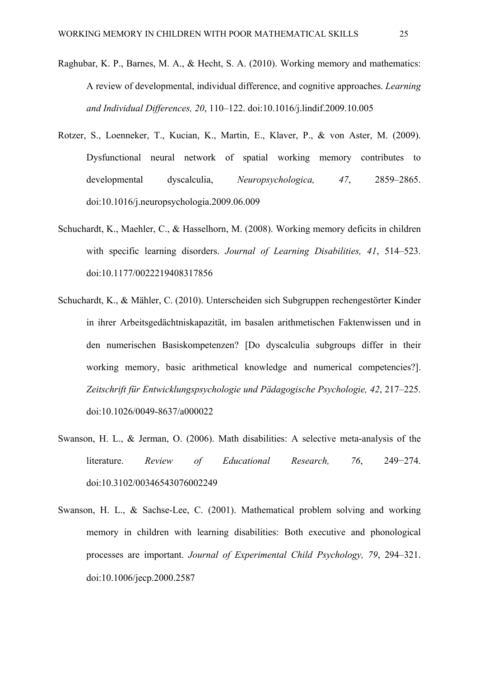- Raghubar, K. P., Barnes, M. A., & Hecht, S. A. (2010). Working memory and mathematics: A review of developmental, individual difference, and cognitive approaches. *Learning and Individual Differences, 20*, 110–122. doi:10.1016/j.lindif.2009.10.005
- Rotzer, S., Loenneker, T., Kucian, K., Martin, E., Klaver, P., & von Aster, M. (2009). Dysfunctional neural network of spatial working memory contributes to developmental dyscalculia, *Neuropsychologica, 47*, 2859–2865. doi:10.1016/j.neuropsychologia.2009.06.009
- Schuchardt, K., Maehler, C., & Hasselhorn, M. (2008). Working memory deficits in children with specific learning disorders. *Journal of Learning Disabilities, 41*, 514–523. doi:10.1177/0022219408317856
- Schuchardt, K., & Mähler, C. (2010). Unterscheiden sich Subgruppen rechengestörter Kinder in ihrer Arbeitsgedächtniskapazität, im basalen arithmetischen Faktenwissen und in den numerischen Basiskompetenzen? [Do dyscalculia subgroups differ in their working memory, basic arithmetical knowledge and numerical competencies?]. *Zeitschrift für Entwicklungspsychologie und Pädagogische Psychologie, 42*, 217–225. doi:10.1026/0049-8637/a000022
- Swanson, H. L., & Jerman, O. (2006). Math disabilities: A selective meta-analysis of the literature. *Review of Educational Research, 76*, 249−274. doi:10.3102/00346543076002249
- Swanson, H. L., & Sachse-Lee, C. (2001). Mathematical problem solving and working memory in children with learning disabilities: Both executive and phonological processes are important. *Journal of Experimental Child Psychology, 79*, 294–321. doi:10.1006/jecp.2000.2587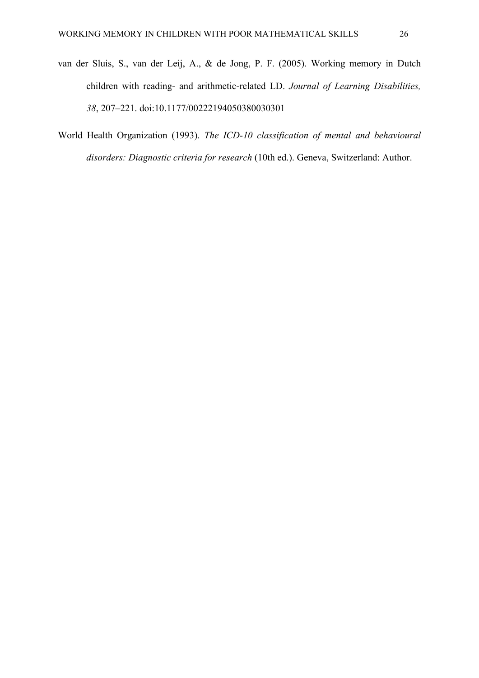- van der Sluis, S., van der Leij, A., & de Jong, P. F. (2005). Working memory in Dutch children with reading- and arithmetic-related LD. *Journal of Learning Disabilities, 38*, 207–221. doi:10.1177/00222194050380030301
- World Health Organization (1993). *The ICD-10 classification of mental and behavioural disorders: Diagnostic criteria for research* (10th ed.). Geneva, Switzerland: Author.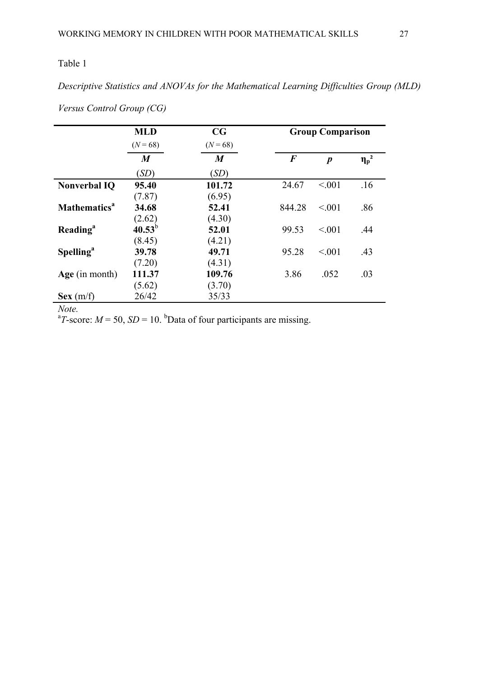*Descriptive Statistics and ANOVAs for the Mathematical Learning Difficulties Group (MLD)* 

|                                 | CG<br><b>MLD</b> |                  | <b>Group Comparison</b> |                  |            |  |  |  |  |  |
|---------------------------------|------------------|------------------|-------------------------|------------------|------------|--|--|--|--|--|
|                                 | $(N = 68)$       | $(N = 68)$       |                         |                  |            |  |  |  |  |  |
|                                 | $\boldsymbol{M}$ | $\boldsymbol{M}$ | $\bm{F}$                | $\boldsymbol{p}$ | $\eta_p^2$ |  |  |  |  |  |
|                                 | (SD)             | (SD)             |                         |                  |            |  |  |  |  |  |
| <b>Nonverbal IQ</b>             | 95.40            | 101.72           | 24.67                   | < 0.01           | .16        |  |  |  |  |  |
|                                 | (7.87)           | (6.95)           |                         |                  |            |  |  |  |  |  |
| <b>Mathematics</b> <sup>a</sup> | 34.68            | 52.41            | 844.28                  | < 0.01           | .86        |  |  |  |  |  |
|                                 | (2.62)           | (4.30)           |                         |                  |            |  |  |  |  |  |
| <b>Reading</b> <sup>a</sup>     | $40.53^{b}$      | 52.01            | 99.53                   | < 0.01           | .44        |  |  |  |  |  |
|                                 | (8.45)           | (4.21)           |                         |                  |            |  |  |  |  |  |
| <b>Spelling</b> <sup>a</sup>    | 39.78            | 49.71            | 95.28                   | < 0.01           | .43        |  |  |  |  |  |
|                                 | (7.20)           | (4.31)           |                         |                  |            |  |  |  |  |  |
| Age (in month)                  | 111.37           | 109.76           | 3.86                    | .052             | .03        |  |  |  |  |  |
|                                 | (5.62)           | (3.70)           |                         |                  |            |  |  |  |  |  |
| Sex(m/f)                        | 26/42            | 35/33            |                         |                  |            |  |  |  |  |  |

*Versus Control Group (CG)* 

*Note.*

<sup>a</sup>T-score:  $M = 50$ ,  $SD = 10$ . <sup>b</sup>Data of four participants are missing.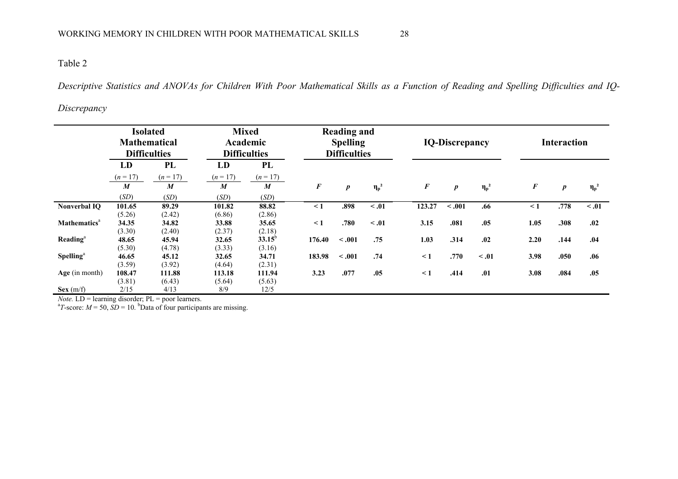*Descriptive Statistics and ANOVAs for Children With Poor Mathematical Skills as a Function of Reading and Spelling Difficulties and IQ-*

#### *Discrepancy*

|                                 | <b>Isolated</b><br><b>Mathematical</b><br><b>Difficulties</b> |                  | <b>Mixed</b><br>Academic<br><b>Difficulties</b> |                  | <b>Reading and</b><br><b>Spelling</b><br><b>Difficulties</b> |                  |            | <b>IQ-Discrepancy</b> |                  |            |                  | <b>Interaction</b> |            |  |
|---------------------------------|---------------------------------------------------------------|------------------|-------------------------------------------------|------------------|--------------------------------------------------------------|------------------|------------|-----------------------|------------------|------------|------------------|--------------------|------------|--|
|                                 | LD                                                            | <b>PL</b>        | LD                                              | PL               |                                                              |                  |            |                       |                  |            |                  |                    |            |  |
|                                 | $(n = 17)$                                                    | $(n=17)$         | $(n = 17)$                                      | $(n = 17)$       |                                                              |                  |            |                       |                  |            |                  |                    |            |  |
|                                 | $\boldsymbol{M}$                                              | $\boldsymbol{M}$ | M                                               | $\boldsymbol{M}$ | $\boldsymbol{F}$                                             | $\boldsymbol{p}$ | $\eta_p^2$ | $\boldsymbol{F}$      | $\boldsymbol{p}$ | $\eta_p^2$ | $\boldsymbol{F}$ | $\boldsymbol{p}$   | $\eta_p^2$ |  |
|                                 | (SD)                                                          | (SD)             | (SD)                                            | (SD)             |                                                              |                  |            |                       |                  |            |                  |                    |            |  |
| <b>Nonverbal IQ</b>             | 101.65                                                        | 89.29            | 101.82                                          | 88.82            | $\leq 1$                                                     | .898             | < .01      | 123.27                | $-.001$          | .66        | $\leq 1$         | .778               | $\leq .01$ |  |
|                                 | (5.26)                                                        | (2.42)           | (6.86)                                          | (2.86)           |                                                              |                  |            |                       |                  |            |                  |                    |            |  |
| <b>Mathematics</b> <sup>a</sup> | 34.35                                                         | 34.82            | 33.88                                           | 35.65            | $\leq 1$                                                     | .780             | $\leq .01$ | 3.15                  | .081             | .05        | 1.05             | .308               | .02        |  |
|                                 | (3.30)                                                        | (2.40)           | (2.37)                                          | (2.18)           |                                                              |                  |            |                       |                  |            |                  |                    |            |  |
| Reading <sup>a</sup>            | 48.65                                                         | 45.94            | 32.65                                           | $33.15^{b}$      | 176.40                                                       | < .001           | .75        | 1.03                  | .314             | .02        | 2.20             | .144               | .04        |  |
|                                 | (5.30)                                                        | (4.78)           | (3.33)                                          | (3.16)           |                                                              |                  |            |                       |                  |            |                  |                    |            |  |
| Spelling <sup>a</sup>           | 46.65                                                         | 45.12            | 32.65                                           | 34.71            | 183.98                                                       | < .001           | .74        | $\leq 1$              | .770             | $\leq .01$ | 3.98             | .050               | .06        |  |
|                                 | (3.59)                                                        | (3.92)           | (4.64)                                          | (2.31)           |                                                              |                  |            |                       |                  |            |                  |                    |            |  |
| Age (in month)                  | 108.47                                                        | 111.88           | 113.18                                          | 111.94           | 3.23                                                         | .077             | .05        | $\leq 1$              | .414             | .01        | 3.08             | .084               | .05        |  |
|                                 | (3.81)                                                        | (6.43)           | (5.64)                                          | (5.63)           |                                                              |                  |            |                       |                  |            |                  |                    |            |  |
| Sex(m/f)                        | 2/15                                                          | 4/13             | 8/9                                             | 12/5             |                                                              |                  |            |                       |                  |            |                  |                    |            |  |

*Note.* LD = learning disorder; PL = poor learners.<br><sup>a</sup>T-score: *M* = 50, *SD* = 10. <sup>b</sup>Data of four participants are missing.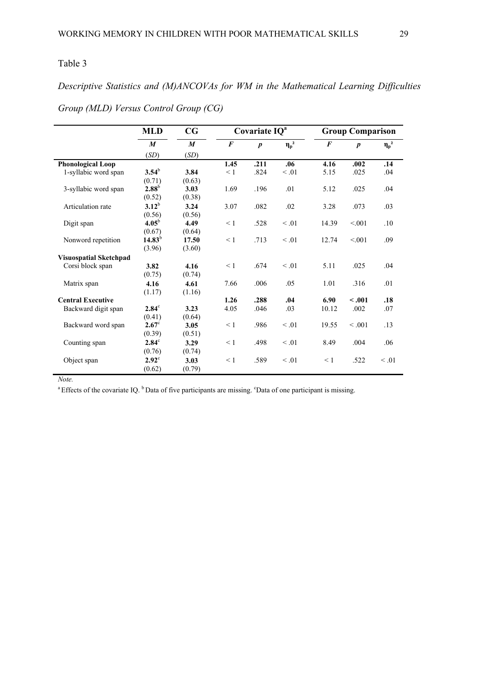*Descriptive Statistics and (M)ANCOVAs for WM in the Mathematical Learning Difficulties Group (MLD) Versus Control Group (CG)* 

|                               | <b>MLD</b>        | CG               |          | Covariate IQ <sup>a</sup> |            | <b>Group Comparison</b> |                  |            |  |  |
|-------------------------------|-------------------|------------------|----------|---------------------------|------------|-------------------------|------------------|------------|--|--|
|                               | $\boldsymbol{M}$  | $\boldsymbol{M}$ | $\bm{F}$ | $\boldsymbol{p}$          | $\eta_p^2$ | $\bm{F}$                | $\boldsymbol{p}$ | $\eta_p^2$ |  |  |
|                               | (SD)              | (SD)             |          |                           |            |                         |                  |            |  |  |
| <b>Phonological Loop</b>      |                   |                  | 1.45     | .211                      | .06        | 4.16                    | .002             | .14        |  |  |
| 1-syllabic word span          | $3.54^{\rm b}$    | 3.84             | $\leq 1$ | .824                      | $\leq .01$ | 5.15                    | .025             | .04        |  |  |
|                               | (0.71)            | (0.63)           |          |                           |            |                         |                  |            |  |  |
| 3-syllabic word span          | $2.88^{b}$        | 3.03             | 1.69     | .196                      | .01        | 5.12                    | .025             | .04        |  |  |
|                               | (0.52)            | (0.38)           |          |                           |            |                         |                  |            |  |  |
| Articulation rate             | $3.12^{b}$        | 3.24             | 3.07     | .082                      | .02        | 3.28                    | .073             | .03        |  |  |
|                               | (0.56)            | (0.56)           |          |                           |            |                         |                  |            |  |  |
| Digit span                    | 4.05 <sup>b</sup> | 4.49             | $\leq 1$ | .528                      | $\leq .01$ | 14.39                   | < 0.01           | .10        |  |  |
|                               | (0.67)            | (0.64)           |          |                           |            |                         |                  |            |  |  |
| Nonword repetition            | $14.83^{b}$       | 17.50            | $\leq 1$ | .713                      | $\leq .01$ | 12.74                   | < 0.01           | .09        |  |  |
|                               | (3.96)            | (3.60)           |          |                           |            |                         |                  |            |  |  |
| <b>Visuospatial Sketchpad</b> |                   |                  |          |                           |            |                         |                  |            |  |  |
| Corsi block span              | 3.82              | 4.16             | $\leq 1$ | .674                      | $\leq .01$ | 5.11                    | .025             | .04        |  |  |
|                               | (0.75)            | (0.74)           |          |                           |            |                         |                  |            |  |  |
| Matrix span                   | 4.16              | 4.61             | 7.66     | .006                      | .05        | 1.01                    | .316             | .01        |  |  |
|                               | (1.17)            | (1.16)           |          |                           |            |                         |                  |            |  |  |
| <b>Central Executive</b>      |                   |                  | 1.26     | .288                      | .04        | 6.90                    | $-.001$          | .18        |  |  |
| Backward digit span           | $2.84^\circ$      | 3.23             | 4.05     | .046                      | .03        | 10.12                   | .002             | .07        |  |  |
|                               | (0.41)            | (0.64)           |          |                           |            |                         |                  |            |  |  |
| Backward word span            | $2.67^{\circ}$    | 3.05             | $\leq 1$ | .986                      | $\leq .01$ | 19.55                   | < 0.001          | .13        |  |  |
|                               | (0.39)            | (0.51)           |          |                           |            |                         |                  |            |  |  |
| Counting span                 | $2.84^\circ$      | 3.29             | $\leq 1$ | .498                      | $\leq .01$ | 8.49                    | .004             | .06        |  |  |
|                               | (0.76)            | (0.74)           |          |                           |            |                         |                  |            |  |  |
| Object span                   | $2.92^{\circ}$    | 3.03             | $\leq 1$ | .589                      | $\leq .01$ | $\leq 1$                | .522             | $\leq .01$ |  |  |
|                               | (0.62)            | (0.79)           |          |                           |            |                         |                  |            |  |  |

*Note.*

<sup>a</sup> Effects of the covariate IQ.  $<sup>b</sup>$  Data of five participants are missing. <sup>c</sup>Data of one participant is missing.</sup>